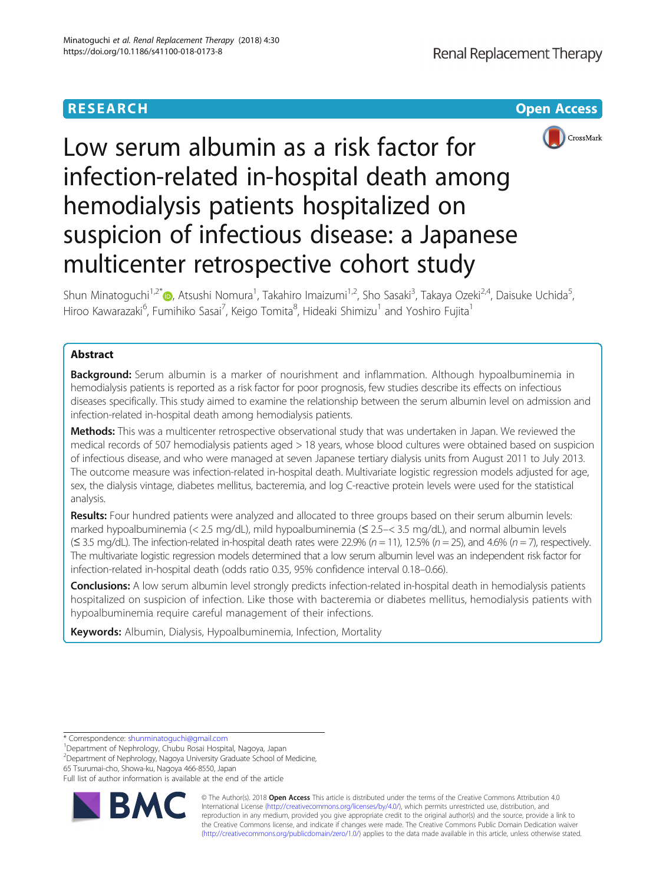# **RESEARCH CHE Open Access**



# Low serum albumin as a risk factor for infection-related in-hospital death among hemodialysis patients hospitalized on suspicion of infectious disease: a Japanese multicenter retrospective cohort study

Shun Minatoguchi<sup>1,2\*</sup>i , Atsushi Nomura<sup>1</sup>, Takahiro Imaizumi<sup>1,2</sup>, Sho Sasaki<sup>3</sup>, Takaya Ozeki<sup>2,4</sup>, Daisuke Uchida<sup>5</sup> , Hiroo Kawarazaki<sup>6</sup>, Fumihiko Sasai<sup>7</sup>, Keigo Tomita<sup>8</sup>, Hideaki Shimizu<sup>1</sup> and Yoshiro Fujita<sup>1</sup>

# Abstract

**Background:** Serum albumin is a marker of nourishment and inflammation. Although hypoalbuminemia in hemodialysis patients is reported as a risk factor for poor prognosis, few studies describe its effects on infectious diseases specifically. This study aimed to examine the relationship between the serum albumin level on admission and infection-related in-hospital death among hemodialysis patients.

Methods: This was a multicenter retrospective observational study that was undertaken in Japan. We reviewed the medical records of 507 hemodialysis patients aged > 18 years, whose blood cultures were obtained based on suspicion of infectious disease, and who were managed at seven Japanese tertiary dialysis units from August 2011 to July 2013. The outcome measure was infection-related in-hospital death. Multivariate logistic regression models adjusted for age, sex, the dialysis vintage, diabetes mellitus, bacteremia, and log C-reactive protein levels were used for the statistical analysis.

Results: Four hundred patients were analyzed and allocated to three groups based on their serum albumin levels: marked hypoalbuminemia (< 2.5 mg/dL), mild hypoalbuminemia (≤ 2.5–< 3.5 mg/dL), and normal albumin levels  $(\leq$  3.5 mg/dL). The infection-related in-hospital death rates were 22.9% (n = 11), 12.5% (n = 25), and 4.6% (n = 7), respectively. The multivariate logistic regression models determined that a low serum albumin level was an independent risk factor for infection-related in-hospital death (odds ratio 0.35, 95% confidence interval 0.18–0.66).

Conclusions: A low serum albumin level strongly predicts infection-related in-hospital death in hemodialysis patients hospitalized on suspicion of infection. Like those with bacteremia or diabetes mellitus, hemodialysis patients with hypoalbuminemia require careful management of their infections.

Keywords: Albumin, Dialysis, Hypoalbuminemia, Infection, Mortality

\* Correspondence: [shunminatoguchi@gmail.com](mailto:shunminatoguchi@gmail.com) <sup>1</sup>

<sup>1</sup>Department of Nephrology, Chubu Rosai Hospital, Nagoya, Japan

2 Department of Nephrology, Nagoya University Graduate School of Medicine, 65 Tsurumai-cho, Showa-ku, Nagoya 466-8550, Japan

Full list of author information is available at the end of the article



© The Author(s). 2018 Open Access This article is distributed under the terms of the Creative Commons Attribution 4.0 International License [\(http://creativecommons.org/licenses/by/4.0/](http://creativecommons.org/licenses/by/4.0/)), which permits unrestricted use, distribution, and reproduction in any medium, provided you give appropriate credit to the original author(s) and the source, provide a link to the Creative Commons license, and indicate if changes were made. The Creative Commons Public Domain Dedication waiver [\(http://creativecommons.org/publicdomain/zero/1.0/](http://creativecommons.org/publicdomain/zero/1.0/)) applies to the data made available in this article, unless otherwise stated.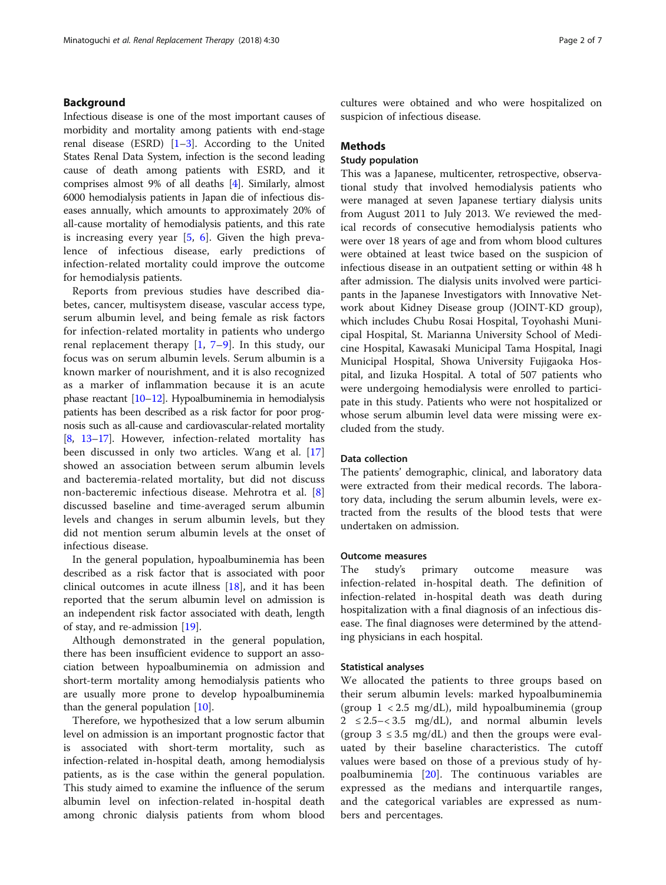# Background

Infectious disease is one of the most important causes of morbidity and mortality among patients with end-stage renal disease (ESRD)  $[1-3]$  $[1-3]$  $[1-3]$  $[1-3]$  $[1-3]$ . According to the United States Renal Data System, infection is the second leading cause of death among patients with ESRD, and it comprises almost 9% of all deaths [[4\]](#page-6-0). Similarly, almost 6000 hemodialysis patients in Japan die of infectious diseases annually, which amounts to approximately 20% of all-cause mortality of hemodialysis patients, and this rate is increasing every year  $[5, 6]$  $[5, 6]$  $[5, 6]$  $[5, 6]$ . Given the high prevalence of infectious disease, early predictions of infection-related mortality could improve the outcome for hemodialysis patients.

Reports from previous studies have described diabetes, cancer, multisystem disease, vascular access type, serum albumin level, and being female as risk factors for infection-related mortality in patients who undergo renal replacement therapy  $[1, 7-9]$  $[1, 7-9]$  $[1, 7-9]$  $[1, 7-9]$  $[1, 7-9]$  $[1, 7-9]$  $[1, 7-9]$ . In this study, our focus was on serum albumin levels. Serum albumin is a known marker of nourishment, and it is also recognized as a marker of inflammation because it is an acute phase reactant [\[10](#page-6-0)–[12\]](#page-6-0). Hypoalbuminemia in hemodialysis patients has been described as a risk factor for poor prognosis such as all-cause and cardiovascular-related mortality [[8](#page-6-0), [13](#page-6-0)–[17](#page-6-0)]. However, infection-related mortality has been discussed in only two articles. Wang et al. [\[17](#page-6-0)] showed an association between serum albumin levels and bacteremia-related mortality, but did not discuss non-bacteremic infectious disease. Mehrotra et al. [\[8](#page-6-0)] discussed baseline and time-averaged serum albumin levels and changes in serum albumin levels, but they did not mention serum albumin levels at the onset of infectious disease.

In the general population, hypoalbuminemia has been described as a risk factor that is associated with poor clinical outcomes in acute illness [\[18](#page-6-0)], and it has been reported that the serum albumin level on admission is an independent risk factor associated with death, length of stay, and re-admission [\[19](#page-6-0)].

Although demonstrated in the general population, there has been insufficient evidence to support an association between hypoalbuminemia on admission and short-term mortality among hemodialysis patients who are usually more prone to develop hypoalbuminemia than the general population [\[10](#page-6-0)].

Therefore, we hypothesized that a low serum albumin level on admission is an important prognostic factor that is associated with short-term mortality, such as infection-related in-hospital death, among hemodialysis patients, as is the case within the general population. This study aimed to examine the influence of the serum albumin level on infection-related in-hospital death among chronic dialysis patients from whom blood

cultures were obtained and who were hospitalized on suspicion of infectious disease.

# **Methods**

# Study population

This was a Japanese, multicenter, retrospective, observational study that involved hemodialysis patients who were managed at seven Japanese tertiary dialysis units from August 2011 to July 2013. We reviewed the medical records of consecutive hemodialysis patients who were over 18 years of age and from whom blood cultures were obtained at least twice based on the suspicion of infectious disease in an outpatient setting or within 48 h after admission. The dialysis units involved were participants in the Japanese Investigators with Innovative Network about Kidney Disease group (JOINT-KD group), which includes Chubu Rosai Hospital, Toyohashi Municipal Hospital, St. Marianna University School of Medicine Hospital, Kawasaki Municipal Tama Hospital, Inagi Municipal Hospital, Showa University Fujigaoka Hospital, and Iizuka Hospital. A total of 507 patients who were undergoing hemodialysis were enrolled to participate in this study. Patients who were not hospitalized or whose serum albumin level data were missing were excluded from the study.

# Data collection

The patients' demographic, clinical, and laboratory data were extracted from their medical records. The laboratory data, including the serum albumin levels, were extracted from the results of the blood tests that were undertaken on admission.

# Outcome measures

The study's primary outcome measure was infection-related in-hospital death. The definition of infection-related in-hospital death was death during hospitalization with a final diagnosis of an infectious disease. The final diagnoses were determined by the attending physicians in each hospital.

#### Statistical analyses

We allocated the patients to three groups based on their serum albumin levels: marked hypoalbuminemia (group 1 < 2.5 mg/dL), mild hypoalbuminemia (group  $2 \leq 2.5 - < 3.5$  mg/dL), and normal albumin levels (group  $3 \leq 3.5$  mg/dL) and then the groups were evaluated by their baseline characteristics. The cutoff values were based on those of a previous study of hypoalbuminemia [\[20](#page-6-0)]. The continuous variables are expressed as the medians and interquartile ranges, and the categorical variables are expressed as numbers and percentages.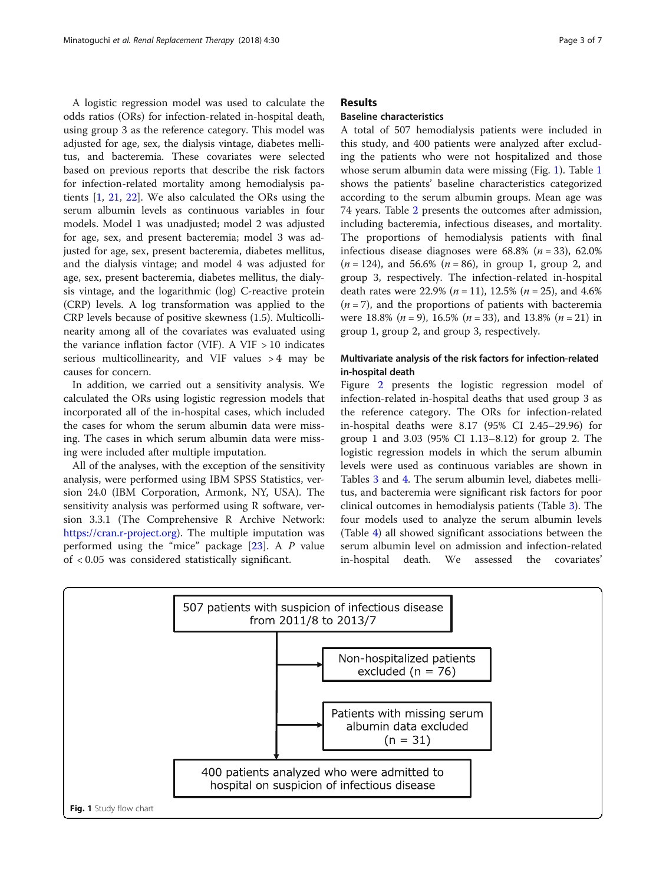A logistic regression model was used to calculate the odds ratios (ORs) for infection-related in-hospital death, using group 3 as the reference category. This model was adjusted for age, sex, the dialysis vintage, diabetes mellitus, and bacteremia. These covariates were selected based on previous reports that describe the risk factors for infection-related mortality among hemodialysis patients [\[1](#page-6-0), [21,](#page-6-0) [22\]](#page-6-0). We also calculated the ORs using the serum albumin levels as continuous variables in four models. Model 1 was unadjusted; model 2 was adjusted for age, sex, and present bacteremia; model 3 was adjusted for age, sex, present bacteremia, diabetes mellitus, and the dialysis vintage; and model 4 was adjusted for age, sex, present bacteremia, diabetes mellitus, the dialysis vintage, and the logarithmic (log) C-reactive protein (CRP) levels. A log transformation was applied to the CRP levels because of positive skewness (1.5). Multicollinearity among all of the covariates was evaluated using the variance inflation factor (VIF). A VIF  $> 10$  indicates serious multicollinearity, and VIF values > 4 may be causes for concern.

In addition, we carried out a sensitivity analysis. We calculated the ORs using logistic regression models that incorporated all of the in-hospital cases, which included the cases for whom the serum albumin data were missing. The cases in which serum albumin data were missing were included after multiple imputation.

All of the analyses, with the exception of the sensitivity analysis, were performed using IBM SPSS Statistics, version 24.0 (IBM Corporation, Armonk, NY, USA). The sensitivity analysis was performed using R software, version 3.3.1 (The Comprehensive R Archive Network: <https://cran.r-project.org>). The multiple imputation was performed using the "mice" package [[23](#page-6-0)]. A P value of < 0.05 was considered statistically significant.

# Results

# Baseline characteristics

A total of 507 hemodialysis patients were included in this study, and 400 patients were analyzed after excluding the patients who were not hospitalized and those whose serum albumin data were missing (Fig. 1). Table [1](#page-3-0) shows the patients' baseline characteristics categorized according to the serum albumin groups. Mean age was 74 years. Table [2](#page-3-0) presents the outcomes after admission, including bacteremia, infectious diseases, and mortality. The proportions of hemodialysis patients with final infectious disease diagnoses were  $68.8\%$  ( $n = 33$ ),  $62.0\%$  $(n = 124)$ , and 56.6%  $(n = 86)$ , in group 1, group 2, and group 3, respectively. The infection-related in-hospital death rates were 22.9% ( $n = 11$ ), 12.5% ( $n = 25$ ), and 4.6%  $(n = 7)$ , and the proportions of patients with bacteremia were 18.8% ( $n = 9$ ), 16.5% ( $n = 33$ ), and 13.8% ( $n = 21$ ) in group 1, group 2, and group 3, respectively.

# Multivariate analysis of the risk factors for infection-related in-hospital death

Figure [2](#page-4-0) presents the logistic regression model of infection-related in-hospital deaths that used group 3 as the reference category. The ORs for infection-related in-hospital deaths were 8.17 (95% CI 2.45–29.96) for group 1 and 3.03 (95% CI 1.13–8.12) for group 2. The logistic regression models in which the serum albumin levels were used as continuous variables are shown in Tables [3](#page-4-0) and [4.](#page-5-0) The serum albumin level, diabetes mellitus, and bacteremia were significant risk factors for poor clinical outcomes in hemodialysis patients (Table [3](#page-4-0)). The four models used to analyze the serum albumin levels (Table [4](#page-5-0)) all showed significant associations between the serum albumin level on admission and infection-related in-hospital death. We assessed the covariates'

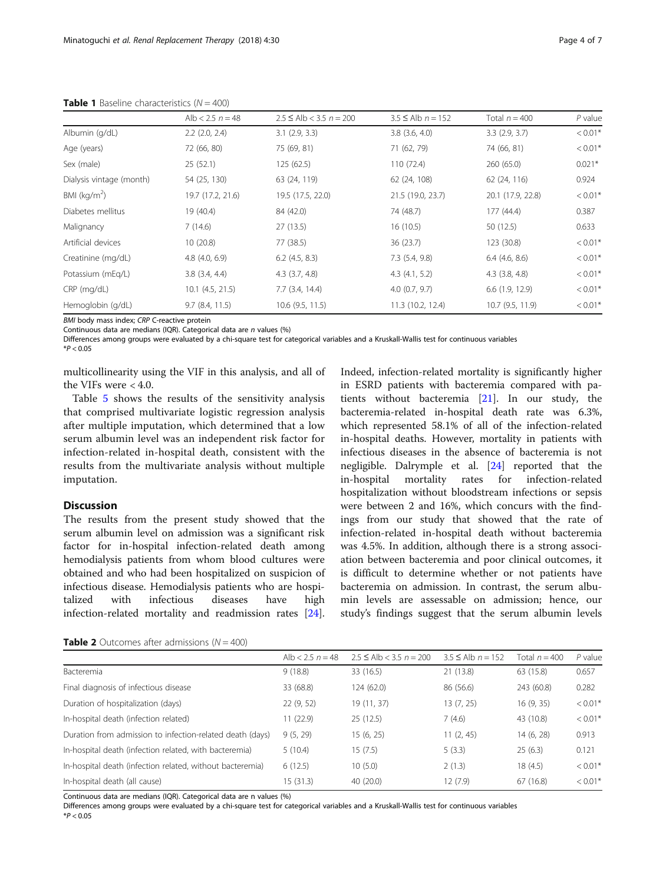|                          | Alb $< 2.5 n = 48$ | $2.5 \leq$ Alb < 3.5 $n = 200$ | $3.5 \leq$ Alb $n = 152$ | Total $n = 400$    | $P$ value |
|--------------------------|--------------------|--------------------------------|--------------------------|--------------------|-----------|
| Albumin (g/dL)           | $2.2$ $(2.0, 2.4)$ | $3.1$ (2.9, 3.3)               | $3.8$ $(3.6, 4.0)$       | 3.3(2.9, 3.7)      | $< 0.01*$ |
| Age (years)              | 72 (66, 80)        | 75 (69, 81)                    | 71 (62, 79)              | 74 (66, 81)        | $< 0.01*$ |
| Sex (male)               | 25(52.1)           | 125 (62.5)                     | 110(72.4)                | 260 (65.0)         | $0.021*$  |
| Dialysis vintage (month) | 54 (25, 130)       | 63 (24, 119)                   | 62 (24, 108)             | 62 (24, 116)       | 0.924     |
| BMI ( $kg/m2$ )          | 19.7 (17.2, 21.6)  | 19.5 (17.5, 22.0)              | 21.5 (19.0, 23.7)        | 20.1 (17.9, 22.8)  | $< 0.01*$ |
| Diabetes mellitus        | 19 (40.4)          | 84 (42.0)                      | 74 (48.7)                | 177 (44.4)         | 0.387     |
| Malignancy               | 7(14.6)            | 27(13.5)                       | 16(10.5)                 | 50 (12.5)          | 0.633     |
| Artificial devices       | 10(20.8)           | 77 (38.5)                      | 36(23.7)                 | 123 (30.8)         | $< 0.01*$ |
| Creatinine (mg/dL)       | 4.8(4.0, 6.9)      | 6.2(4.5, 8.3)                  | 7.3(5.4, 9.8)            | $6.4$ (4.6, 8.6)   | $< 0.01*$ |
| Potassium (mEg/L)        | $3.8$ $(3.4, 4.4)$ | $4.3$ $(3.7, 4.8)$             | 4.3(4.1, 5.2)            | $4.3$ $(3.8, 4.8)$ | $< 0.01*$ |
| $CRP$ (mg/dL)            | $10.1$ (4.5, 21.5) | $7.7$ $(3.4, 14.4)$            | 4.0(0.7, 9.7)            | 6.6(1.9, 12.9)     | $< 0.01*$ |
| Hemoglobin (g/dL)        | 9.7(8.4, 11.5)     | $10.6$ (9.5, 11.5)             | 11.3 (10.2, 12.4)        | 10.7 (9.5, 11.9)   | $< 0.01*$ |

<span id="page-3-0"></span>**Table 1** Baseline characteristics  $(N = 400)$ 

BMI body mass index; CRP C-reactive protein

Continuous data are medians (IQR). Categorical data are n values (%)

Differences among groups were evaluated by a chi-square test for categorical variables and a Kruskall-Wallis test for continuous variables  $*P < 0.05$ 

multicollinearity using the VIF in this analysis, and all of the VIFs were < 4.0.

Table [5](#page-5-0) shows the results of the sensitivity analysis that comprised multivariate logistic regression analysis after multiple imputation, which determined that a low serum albumin level was an independent risk factor for infection-related in-hospital death, consistent with the results from the multivariate analysis without multiple imputation.

# Discussion

The results from the present study showed that the serum albumin level on admission was a significant risk factor for in-hospital infection-related death among hemodialysis patients from whom blood cultures were obtained and who had been hospitalized on suspicion of infectious disease. Hemodialysis patients who are hospitalized with infectious diseases have high infection-related mortality and readmission rates [\[24](#page-6-0)].

Indeed, infection-related mortality is significantly higher in ESRD patients with bacteremia compared with patients without bacteremia [\[21\]](#page-6-0). In our study, the bacteremia-related in-hospital death rate was 6.3%, which represented 58.1% of all of the infection-related in-hospital deaths. However, mortality in patients with infectious diseases in the absence of bacteremia is not negligible. Dalrymple et al. [[24\]](#page-6-0) reported that the in-hospital mortality rates for infection-related hospitalization without bloodstream infections or sepsis were between 2 and 16%, which concurs with the findings from our study that showed that the rate of infection-related in-hospital death without bacteremia was 4.5%. In addition, although there is a strong association between bacteremia and poor clinical outcomes, it is difficult to determine whether or not patients have bacteremia on admission. In contrast, the serum albumin levels are assessable on admission; hence, our study's findings suggest that the serum albumin levels

|                                                           | Alb < $2.5 n = 48$ | $2.5 \leq Alb < 3.5 n = 200$ | $3.5 \leq$ Alb $n = 152$ | Total $n = 400$ | $P$ value |
|-----------------------------------------------------------|--------------------|------------------------------|--------------------------|-----------------|-----------|
| Bacteremia                                                | 9(18.8)            | 33 (16.5)                    | 21 (13.8)                | 63 (15.8)       | 0.657     |
| Final diagnosis of infectious disease                     | 33 (68.8)          | 124 (62.0)                   | 86 (56.6)                | 243 (60.8)      | 0.282     |
| Duration of hospitalization (days)                        | 22(9, 52)          | 19 (11, 37)                  | 13 (7, 25)               | 16(9, 35)       | $< 0.01*$ |
| In-hospital death (infection related)                     | 11(22.9)           | 25(12.5)                     | 7(4.6)                   | 43 (10.8)       | $< 0.01*$ |
| Duration from admission to infection-related death (days) | 9(5, 29)           | 15(6, 25)                    | 11(2, 45)                | 14 (6, 28)      | 0.913     |
| In-hospital death (infection related, with bacteremia)    | 5(10.4)            | 15(7.5)                      | 5(3.3)                   | 25(6.3)         | 0.121     |
| In-hospital death (infection related, without bacteremia) | 6(12.5)            | 10(5.0)                      | 2(1.3)                   | 18(4.5)         | $< 0.01*$ |
| In-hospital death (all cause)                             | 15(31.3)           | 40(20.0)                     | 12(7.9)                  | 67(16.8)        | $< 0.01*$ |
|                                                           |                    |                              |                          |                 |           |

**Table 2** Outcomes after admissions ( $N = 400$ )

Continuous data are medians (IQR). Categorical data are n values (%)

Differences among groups were evaluated by a chi-square test for categorical variables and a Kruskall-Wallis test for continuous variables  $*P < 0.05$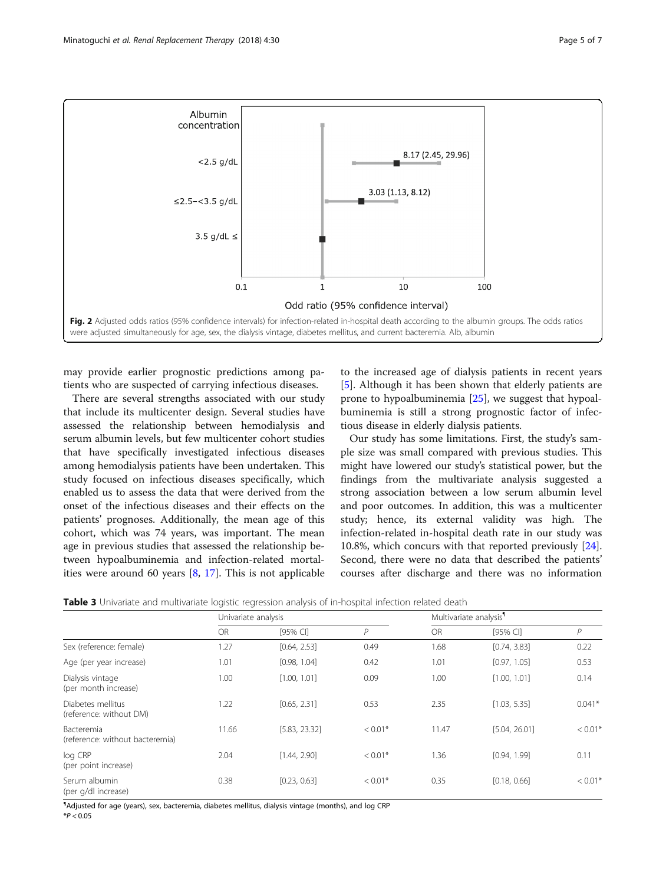<span id="page-4-0"></span>

may provide earlier prognostic predictions among patients who are suspected of carrying infectious diseases.

There are several strengths associated with our study that include its multicenter design. Several studies have assessed the relationship between hemodialysis and serum albumin levels, but few multicenter cohort studies that have specifically investigated infectious diseases among hemodialysis patients have been undertaken. This study focused on infectious diseases specifically, which enabled us to assess the data that were derived from the onset of the infectious diseases and their effects on the patients' prognoses. Additionally, the mean age of this cohort, which was 74 years, was important. The mean age in previous studies that assessed the relationship between hypoalbuminemia and infection-related mortalities were around 60 years [\[8](#page-6-0), [17\]](#page-6-0). This is not applicable

to the increased age of dialysis patients in recent years [[5\]](#page-6-0). Although it has been shown that elderly patients are prone to hypoalbuminemia [[25\]](#page-6-0), we suggest that hypoalbuminemia is still a strong prognostic factor of infectious disease in elderly dialysis patients.

Our study has some limitations. First, the study's sample size was small compared with previous studies. This might have lowered our study's statistical power, but the findings from the multivariate analysis suggested a strong association between a low serum albumin level and poor outcomes. In addition, this was a multicenter study; hence, its external validity was high. The infection-related in-hospital death rate in our study was 10.8%, which concurs with that reported previously [\[24](#page-6-0)]. Second, there were no data that described the patients' courses after discharge and there was no information

| Table 3 Univariate and multivariate logistic regression analysis of in-hospital infection related death |  |
|---------------------------------------------------------------------------------------------------------|--|
|---------------------------------------------------------------------------------------------------------|--|

|                                                      | Univariate analysis |               |              |           | Multivariate analysis <sup>1</sup> |                |  |
|------------------------------------------------------|---------------------|---------------|--------------|-----------|------------------------------------|----------------|--|
|                                                      | <b>OR</b>           | [95% CI]      | $\mathsf{P}$ | <b>OR</b> | [95% CI]                           | $\overline{P}$ |  |
| Sex (reference: female)                              | 1.27                | [0.64, 2.53]  | 0.49         | 1.68      | [0.74, 3.83]                       | 0.22           |  |
| Age (per year increase)                              | 1.01                | [0.98, 1.04]  | 0.42         | 1.01      | [0.97, 1.05]                       | 0.53           |  |
| Dialysis vintage<br>(per month increase)             | 1.00                | [1.00, 1.01]  | 0.09         | 1.00      | [1.00, 1.01]                       | 0.14           |  |
| Diabetes mellitus<br>(reference: without DM)         | 1.22                | [0.65, 2.31]  | 0.53         | 2.35      | [1.03, 5.35]                       | $0.041*$       |  |
| <b>Bacteremia</b><br>(reference: without bacteremia) | 11.66               | [5.83, 23.32] | $< 0.01*$    | 11.47     | [5.04, 26.01]                      | $< 0.01*$      |  |
| log CRP<br>(per point increase)                      | 2.04                | [1.44, 2.90]  | $< 0.01*$    | 1.36      | [0.94, 1.99]                       | 0.11           |  |
| Serum albumin<br>(per g/dl increase)                 | 0.38                | [0.23, 0.63]  | $< 0.01*$    | 0.35      | [0.18, 0.66]                       | $< 0.01*$      |  |

¶ Adjusted for age (years), sex, bacteremia, diabetes mellitus, dialysis vintage (months), and log CRP  $*P < 0.05$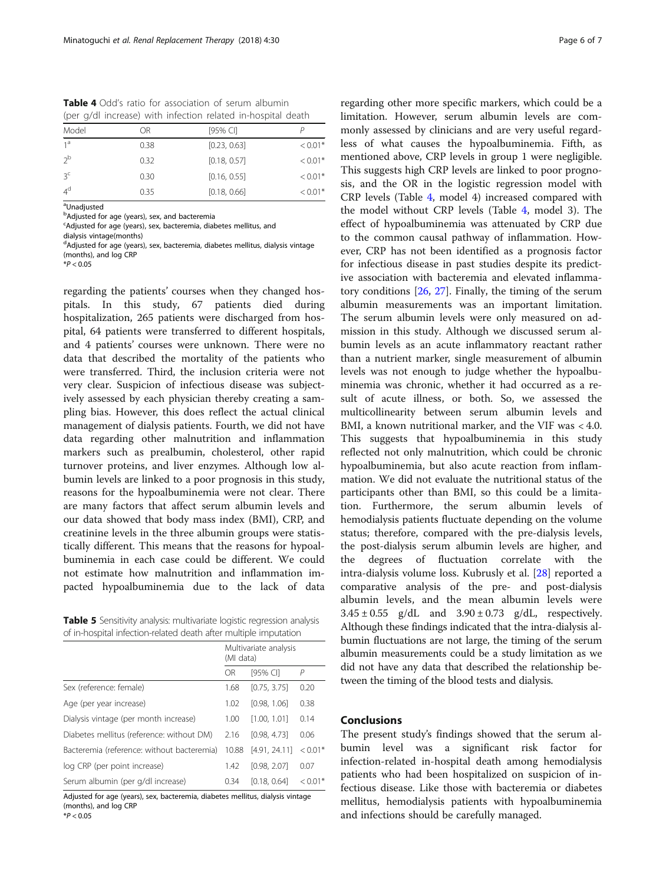<span id="page-5-0"></span>Table 4 Odd's ratio for association of serum albumin (per g/dl increase) with infection related in-hospital death

| Model          | ОR   | [95% CI]     |           |
|----------------|------|--------------|-----------|
| 1 <sup>a</sup> | 0.38 | [0.23, 0.63] | $< 0.01*$ |
| 2 <sup>b</sup> | 0.32 | [0.18, 0.57] | $< 0.01*$ |
| 3 <sup>c</sup> | 0.30 | [0.16, 0.55] | $< 0.01*$ |
| 4 <sup>d</sup> | 0.35 | [0.18, 0.66] | $< 0.01*$ |
|                |      |              |           |

<sup>a</sup>Unadjusted

**b**Adjusted for age (years), sex, and bacteremia

<sup>c</sup>Adjusted for age (years), sex, bacteremia, diabetes mellitus, and

dialysis vintage(months)

<sup>d</sup>Adjusted for age (years), sex, bacteremia, diabetes mellitus, dialysis vintage (months), and log CRP

 $*P < 0.05$ 

regarding the patients' courses when they changed hospitals. In this study, 67 patients died during hospitalization, 265 patients were discharged from hospital, 64 patients were transferred to different hospitals, and 4 patients' courses were unknown. There were no data that described the mortality of the patients who were transferred. Third, the inclusion criteria were not very clear. Suspicion of infectious disease was subjectively assessed by each physician thereby creating a sampling bias. However, this does reflect the actual clinical management of dialysis patients. Fourth, we did not have data regarding other malnutrition and inflammation markers such as prealbumin, cholesterol, other rapid turnover proteins, and liver enzymes. Although low albumin levels are linked to a poor prognosis in this study, reasons for the hypoalbuminemia were not clear. There are many factors that affect serum albumin levels and our data showed that body mass index (BMI), CRP, and creatinine levels in the three albumin groups were statistically different. This means that the reasons for hypoalbuminemia in each case could be different. We could not estimate how malnutrition and inflammation impacted hypoalbuminemia due to the lack of data

Table 5 Sensitivity analysis: multivariate logistic regression analysis of in-hospital infection-related death after multiple imputation

|                                            | Multivariate analysis<br>(MI data) |               |           |
|--------------------------------------------|------------------------------------|---------------|-----------|
|                                            | OR                                 | [95% CI]      | P         |
| Sex (reference: female)                    | 1.68                               | [0.75, 3.75]  | 0.20      |
| Age (per year increase)                    | 1.02                               | [0.98, 1.06]  | 0.38      |
| Dialysis vintage (per month increase)      | 1.00                               | [1.00, 1.01]  | 0.14      |
| Diabetes mellitus (reference: without DM)  | 2.16                               | [0.98, 4.73]  | 0.06      |
| Bacteremia (reference: without bacteremia) | 10.88                              | [4.91, 24.11] | $< 0.01*$ |
| log CRP (per point increase)               | 1.42                               | [0.98, 2.07]  | 0.07      |
| Serum albumin (per g/dl increase)          | 0.34                               | [0.18, 0.64]  | $< 0.01*$ |

Adjusted for age (years), sex, bacteremia, diabetes mellitus, dialysis vintage (months), and log CRP

 $*P < 0.05$ 

regarding other more specific markers, which could be a limitation. However, serum albumin levels are commonly assessed by clinicians and are very useful regardless of what causes the hypoalbuminemia. Fifth, as mentioned above, CRP levels in group 1 were negligible. This suggests high CRP levels are linked to poor prognosis, and the OR in the logistic regression model with CRP levels (Table 4, model 4) increased compared with the model without CRP levels (Table 4, model 3). The effect of hypoalbuminemia was attenuated by CRP due to the common causal pathway of inflammation. However, CRP has not been identified as a prognosis factor for infectious disease in past studies despite its predictive association with bacteremia and elevated inflammatory conditions [[26](#page-6-0), [27\]](#page-6-0). Finally, the timing of the serum albumin measurements was an important limitation. The serum albumin levels were only measured on admission in this study. Although we discussed serum albumin levels as an acute inflammatory reactant rather than a nutrient marker, single measurement of albumin levels was not enough to judge whether the hypoalbuminemia was chronic, whether it had occurred as a result of acute illness, or both. So, we assessed the multicollinearity between serum albumin levels and BMI, a known nutritional marker, and the VIF was < 4.0. This suggests that hypoalbuminemia in this study reflected not only malnutrition, which could be chronic hypoalbuminemia, but also acute reaction from inflammation. We did not evaluate the nutritional status of the participants other than BMI, so this could be a limitation. Furthermore, the serum albumin levels of hemodialysis patients fluctuate depending on the volume status; therefore, compared with the pre-dialysis levels, the post-dialysis serum albumin levels are higher, and the degrees of fluctuation correlate with the intra-dialysis volume loss. Kubrusly et al. [[28\]](#page-6-0) reported a comparative analysis of the pre- and post-dialysis albumin levels, and the mean albumin levels were  $3.45 \pm 0.55$  g/dL and  $3.90 \pm 0.73$  g/dL, respectively. Although these findings indicated that the intra-dialysis albumin fluctuations are not large, the timing of the serum albumin measurements could be a study limitation as we did not have any data that described the relationship between the timing of the blood tests and dialysis.

# Conclusions

The present study's findings showed that the serum albumin level was a significant risk factor for infection-related in-hospital death among hemodialysis patients who had been hospitalized on suspicion of infectious disease. Like those with bacteremia or diabetes mellitus, hemodialysis patients with hypoalbuminemia and infections should be carefully managed.